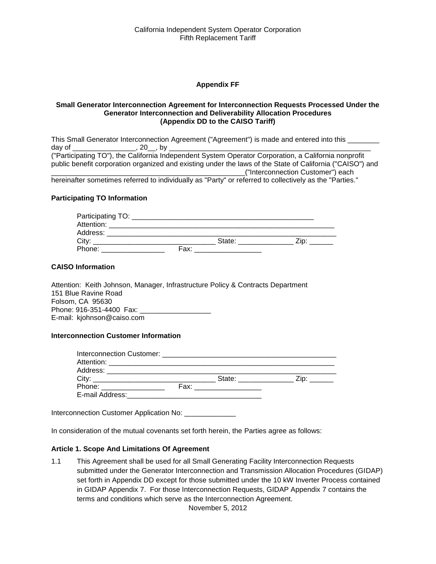#### **Appendix FF**

#### **Small Generator Interconnection Agreement for Interconnection Requests Processed Under the Generator Interconnection and Deliverability Allocation Procedures (Appendix DD to the CAISO Tariff)**

This Small Generator Interconnection Agreement ("Agreement") is made and entered into this \_\_\_\_\_\_\_\_ day of \_\_\_\_\_\_\_\_\_\_\_\_\_\_\_\_, 20\_\_, by \_\_\_\_\_\_\_\_\_\_\_\_\_\_\_\_\_\_\_\_\_\_\_\_\_\_\_\_\_\_\_\_\_\_\_\_\_\_\_\_\_\_\_\_\_\_\_\_\_\_\_ ("Participating TO"), the California Independent System Operator Corporation, a California nonprofit public benefit corporation organized and existing under the laws of the State of California ("CAISO") and \_\_\_\_\_\_\_\_\_\_\_\_\_\_\_\_\_\_\_\_\_\_\_\_\_\_\_\_\_\_\_\_\_\_\_\_\_\_\_\_\_\_\_\_\_\_\_\_\_("Interconnection Customer") each hereinafter sometimes referred to individually as "Party" or referred to collectively as the "Parties."

#### **Participating TO Information**

| Participating TO: |      |        |  |
|-------------------|------|--------|--|
| Attention:        |      |        |  |
| Address:          |      |        |  |
| City:             |      | State: |  |
| Phone:            | Fax: |        |  |

#### **CAISO Information**

Attention: Keith Johnson, Manager, Infrastructure Policy & Contracts Department 151 Blue Ravine Road Folsom, CA 95630 Phone: 916-351-4400 Fax: \_ E-mail: kjohnson@caiso.com

#### **Interconnection Customer Information**

|                                                                                                                                                                                                                                | State: The State of the State of the State of the State of the State of the State of the State of the State of the State of the State of the State of the State of the State of the State of the State of the State of the Sta | $\mathsf{Zip:} \_\_\_\_\_\_\$ |
|--------------------------------------------------------------------------------------------------------------------------------------------------------------------------------------------------------------------------------|--------------------------------------------------------------------------------------------------------------------------------------------------------------------------------------------------------------------------------|-------------------------------|
| Phone: the contract of the contract of the contract of the contract of the contract of the contract of the contract of the contract of the contract of the contract of the contract of the contract of the contract of the con | Fax: __________________                                                                                                                                                                                                        |                               |
|                                                                                                                                                                                                                                |                                                                                                                                                                                                                                |                               |

Interconnection Customer Application No: \_\_\_\_\_\_\_\_\_\_\_\_\_

In consideration of the mutual covenants set forth herein, the Parties agree as follows:

#### **Article 1. Scope And Limitations Of Agreement**

1.1 This Agreement shall be used for all Small Generating Facility Interconnection Requests submitted under the Generator Interconnection and Transmission Allocation Procedures (GIDAP) set forth in Appendix DD except for those submitted under the 10 kW Inverter Process contained in GIDAP Appendix 7. For those Interconnection Requests, GIDAP Appendix 7 contains the terms and conditions which serve as the Interconnection Agreement.

November 5, 2012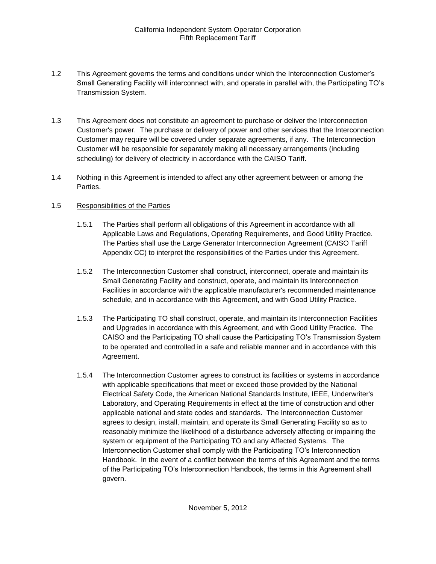- 1.2 This Agreement governs the terms and conditions under which the Interconnection Customer's Small Generating Facility will interconnect with, and operate in parallel with, the Participating TO's Transmission System.
- 1.3 This Agreement does not constitute an agreement to purchase or deliver the Interconnection Customer's power. The purchase or delivery of power and other services that the Interconnection Customer may require will be covered under separate agreements, if any. The Interconnection Customer will be responsible for separately making all necessary arrangements (including scheduling) for delivery of electricity in accordance with the CAISO Tariff.
- 1.4 Nothing in this Agreement is intended to affect any other agreement between or among the Parties.

## 1.5 Responsibilities of the Parties

- 1.5.1 The Parties shall perform all obligations of this Agreement in accordance with all Applicable Laws and Regulations, Operating Requirements, and Good Utility Practice. The Parties shall use the Large Generator Interconnection Agreement (CAISO Tariff Appendix CC) to interpret the responsibilities of the Parties under this Agreement.
- 1.5.2 The Interconnection Customer shall construct, interconnect, operate and maintain its Small Generating Facility and construct, operate, and maintain its Interconnection Facilities in accordance with the applicable manufacturer's recommended maintenance schedule, and in accordance with this Agreement, and with Good Utility Practice.
- 1.5.3 The Participating TO shall construct, operate, and maintain its Interconnection Facilities and Upgrades in accordance with this Agreement, and with Good Utility Practice. The CAISO and the Participating TO shall cause the Participating TO's Transmission System to be operated and controlled in a safe and reliable manner and in accordance with this Agreement.
- 1.5.4 The Interconnection Customer agrees to construct its facilities or systems in accordance with applicable specifications that meet or exceed those provided by the National Electrical Safety Code, the American National Standards Institute, IEEE, Underwriter's Laboratory, and Operating Requirements in effect at the time of construction and other applicable national and state codes and standards. The Interconnection Customer agrees to design, install, maintain, and operate its Small Generating Facility so as to reasonably minimize the likelihood of a disturbance adversely affecting or impairing the system or equipment of the Participating TO and any Affected Systems. The Interconnection Customer shall comply with the Participating TO's Interconnection Handbook. In the event of a conflict between the terms of this Agreement and the terms of the Participating TO's Interconnection Handbook, the terms in this Agreement shall govern.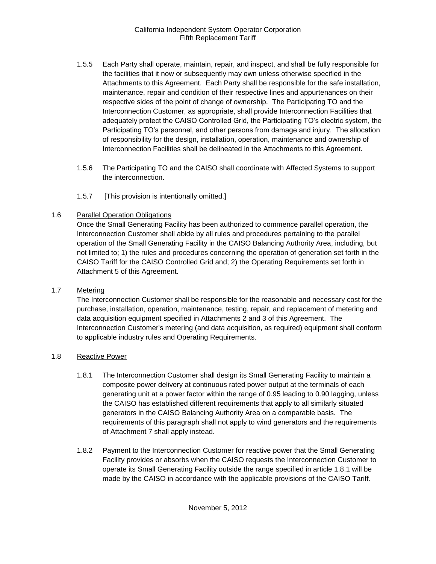- 1.5.5 Each Party shall operate, maintain, repair, and inspect, and shall be fully responsible for the facilities that it now or subsequently may own unless otherwise specified in the Attachments to this Agreement. Each Party shall be responsible for the safe installation, maintenance, repair and condition of their respective lines and appurtenances on their respective sides of the point of change of ownership. The Participating TO and the Interconnection Customer, as appropriate, shall provide Interconnection Facilities that adequately protect the CAISO Controlled Grid, the Participating TO's electric system, the Participating TO's personnel, and other persons from damage and injury. The allocation of responsibility for the design, installation, operation, maintenance and ownership of Interconnection Facilities shall be delineated in the Attachments to this Agreement.
- 1.5.6 The Participating TO and the CAISO shall coordinate with Affected Systems to support the interconnection.
- 1.5.7 [This provision is intentionally omitted.]

## 1.6 Parallel Operation Obligations

Once the Small Generating Facility has been authorized to commence parallel operation, the Interconnection Customer shall abide by all rules and procedures pertaining to the parallel operation of the Small Generating Facility in the CAISO Balancing Authority Area, including, but not limited to; 1) the rules and procedures concerning the operation of generation set forth in the CAISO Tariff for the CAISO Controlled Grid and; 2) the Operating Requirements set forth in Attachment 5 of this Agreement.

## 1.7 Metering

The Interconnection Customer shall be responsible for the reasonable and necessary cost for the purchase, installation, operation, maintenance, testing, repair, and replacement of metering and data acquisition equipment specified in Attachments 2 and 3 of this Agreement. The Interconnection Customer's metering (and data acquisition, as required) equipment shall conform to applicable industry rules and Operating Requirements.

## 1.8 Reactive Power

- 1.8.1 The Interconnection Customer shall design its Small Generating Facility to maintain a composite power delivery at continuous rated power output at the terminals of each generating unit at a power factor within the range of 0.95 leading to 0.90 lagging, unless the CAISO has established different requirements that apply to all similarly situated generators in the CAISO Balancing Authority Area on a comparable basis. The requirements of this paragraph shall not apply to wind generators and the requirements of Attachment 7 shall apply instead.
- 1.8.2 Payment to the Interconnection Customer for reactive power that the Small Generating Facility provides or absorbs when the CAISO requests the Interconnection Customer to operate its Small Generating Facility outside the range specified in article 1.8.1 will be made by the CAISO in accordance with the applicable provisions of the CAISO Tariff.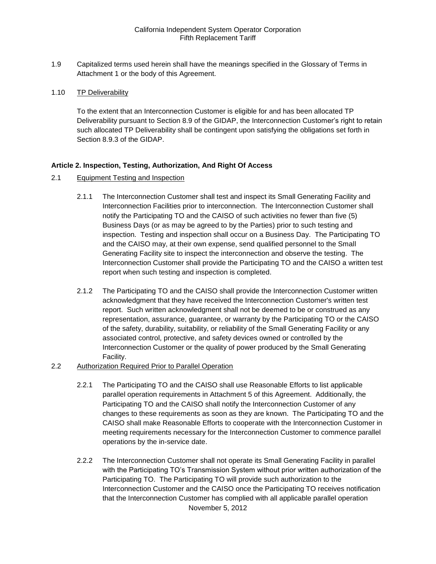1.9 Capitalized terms used herein shall have the meanings specified in the Glossary of Terms in Attachment 1 or the body of this Agreement.

#### 1.10 TP Deliverability

To the extent that an Interconnection Customer is eligible for and has been allocated TP Deliverability pursuant to Section 8.9 of the GIDAP, the Interconnection Customer's right to retain such allocated TP Deliverability shall be contingent upon satisfying the obligations set forth in Section 8.9.3 of the GIDAP.

#### **Article 2. Inspection, Testing, Authorization, And Right Of Access**

- 2.1 Equipment Testing and Inspection
	- 2.1.1 The Interconnection Customer shall test and inspect its Small Generating Facility and Interconnection Facilities prior to interconnection. The Interconnection Customer shall notify the Participating TO and the CAISO of such activities no fewer than five (5) Business Days (or as may be agreed to by the Parties) prior to such testing and inspection. Testing and inspection shall occur on a Business Day. The Participating TO and the CAISO may, at their own expense, send qualified personnel to the Small Generating Facility site to inspect the interconnection and observe the testing. The Interconnection Customer shall provide the Participating TO and the CAISO a written test report when such testing and inspection is completed.
	- 2.1.2 The Participating TO and the CAISO shall provide the Interconnection Customer written acknowledgment that they have received the Interconnection Customer's written test report. Such written acknowledgment shall not be deemed to be or construed as any representation, assurance, guarantee, or warranty by the Participating TO or the CAISO of the safety, durability, suitability, or reliability of the Small Generating Facility or any associated control, protective, and safety devices owned or controlled by the Interconnection Customer or the quality of power produced by the Small Generating Facility.
- 2.2 Authorization Required Prior to Parallel Operation
	- 2.2.1 The Participating TO and the CAISO shall use Reasonable Efforts to list applicable parallel operation requirements in Attachment 5 of this Agreement. Additionally, the Participating TO and the CAISO shall notify the Interconnection Customer of any changes to these requirements as soon as they are known. The Participating TO and the CAISO shall make Reasonable Efforts to cooperate with the Interconnection Customer in meeting requirements necessary for the Interconnection Customer to commence parallel operations by the in-service date.
	- November 5, 2012 2.2.2 The Interconnection Customer shall not operate its Small Generating Facility in parallel with the Participating TO's Transmission System without prior written authorization of the Participating TO. The Participating TO will provide such authorization to the Interconnection Customer and the CAISO once the Participating TO receives notification that the Interconnection Customer has complied with all applicable parallel operation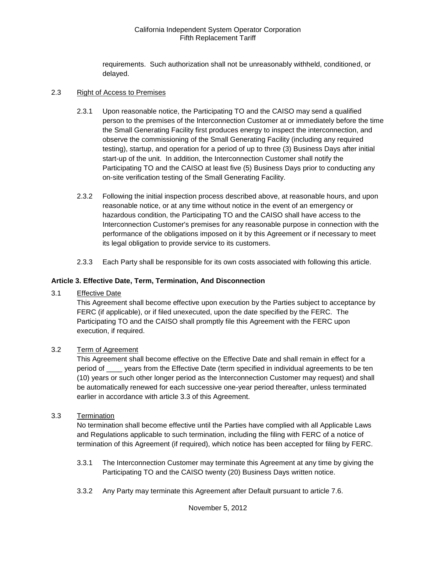requirements. Such authorization shall not be unreasonably withheld, conditioned, or delayed.

#### 2.3 Right of Access to Premises

- 2.3.1 Upon reasonable notice, the Participating TO and the CAISO may send a qualified person to the premises of the Interconnection Customer at or immediately before the time the Small Generating Facility first produces energy to inspect the interconnection, and observe the commissioning of the Small Generating Facility (including any required testing), startup, and operation for a period of up to three (3) Business Days after initial start-up of the unit. In addition, the Interconnection Customer shall notify the Participating TO and the CAISO at least five (5) Business Days prior to conducting any on-site verification testing of the Small Generating Facility.
- 2.3.2 Following the initial inspection process described above, at reasonable hours, and upon reasonable notice, or at any time without notice in the event of an emergency or hazardous condition, the Participating TO and the CAISO shall have access to the Interconnection Customer's premises for any reasonable purpose in connection with the performance of the obligations imposed on it by this Agreement or if necessary to meet its legal obligation to provide service to its customers.
- 2.3.3 Each Party shall be responsible for its own costs associated with following this article.

## **Article 3. Effective Date, Term, Termination, And Disconnection**

3.1 Effective Date

This Agreement shall become effective upon execution by the Parties subject to acceptance by FERC (if applicable), or if filed unexecuted, upon the date specified by the FERC. The Participating TO and the CAISO shall promptly file this Agreement with the FERC upon execution, if required.

## 3.2 Term of Agreement

This Agreement shall become effective on the Effective Date and shall remain in effect for a period of \_\_\_\_ years from the Effective Date (term specified in individual agreements to be ten (10) years or such other longer period as the Interconnection Customer may request) and shall be automatically renewed for each successive one-year period thereafter, unless terminated earlier in accordance with article 3.3 of this Agreement.

#### 3.3 Termination

No termination shall become effective until the Parties have complied with all Applicable Laws and Regulations applicable to such termination, including the filing with FERC of a notice of termination of this Agreement (if required), which notice has been accepted for filing by FERC.

- 3.3.1 The Interconnection Customer may terminate this Agreement at any time by giving the Participating TO and the CAISO twenty (20) Business Days written notice.
- 3.3.2 Any Party may terminate this Agreement after Default pursuant to article 7.6.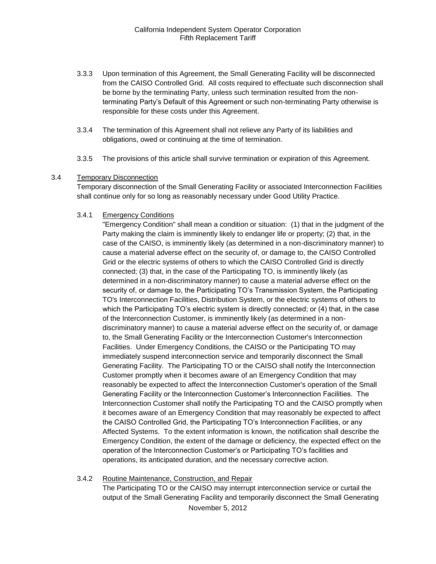- 3.3.3 Upon termination of this Agreement, the Small Generating Facility will be disconnected from the CAISO Controlled Grid. All costs required to effectuate such disconnection shall be borne by the terminating Party, unless such termination resulted from the nonterminating Party's Default of this Agreement or such non-terminating Party otherwise is responsible for these costs under this Agreement.
- 3.3.4 The termination of this Agreement shall not relieve any Party of its liabilities and obligations, owed or continuing at the time of termination.
- 3.3.5 The provisions of this article shall survive termination or expiration of this Agreement.

#### 3.4 Temporary Disconnection

Temporary disconnection of the Small Generating Facility or associated Interconnection Facilities shall continue only for so long as reasonably necessary under Good Utility Practice.

## 3.4.1 Emergency Conditions

"Emergency Condition" shall mean a condition or situation: (1) that in the judgment of the Party making the claim is imminently likely to endanger life or property; (2) that, in the case of the CAISO, is imminently likely (as determined in a non-discriminatory manner) to cause a material adverse effect on the security of, or damage to, the CAISO Controlled Grid or the electric systems of others to which the CAISO Controlled Grid is directly connected; (3) that, in the case of the Participating TO, is imminently likely (as determined in a non-discriminatory manner) to cause a material adverse effect on the security of, or damage to, the Participating TO's Transmission System, the Participating TO's Interconnection Facilities, Distribution System, or the electric systems of others to which the Participating TO's electric system is directly connected; or (4) that, in the case of the Interconnection Customer, is imminently likely (as determined in a nondiscriminatory manner) to cause a material adverse effect on the security of, or damage to, the Small Generating Facility or the Interconnection Customer's Interconnection Facilities. Under Emergency Conditions, the CAISO or the Participating TO may immediately suspend interconnection service and temporarily disconnect the Small Generating Facility. The Participating TO or the CAISO shall notify the Interconnection Customer promptly when it becomes aware of an Emergency Condition that may reasonably be expected to affect the Interconnection Customer's operation of the Small Generating Facility or the Interconnection Customer's Interconnection Facilities. The Interconnection Customer shall notify the Participating TO and the CAISO promptly when it becomes aware of an Emergency Condition that may reasonably be expected to affect the CAISO Controlled Grid, the Participating TO's Interconnection Facilities, or any Affected Systems. To the extent information is known, the notification shall describe the Emergency Condition, the extent of the damage or deficiency, the expected effect on the operation of the Interconnection Customer's or Participating TO's facilities and operations, its anticipated duration, and the necessary corrective action.

#### 3.4.2 Routine Maintenance, Construction, and Repair

The Participating TO or the CAISO may interrupt interconnection service or curtail the output of the Small Generating Facility and temporarily disconnect the Small Generating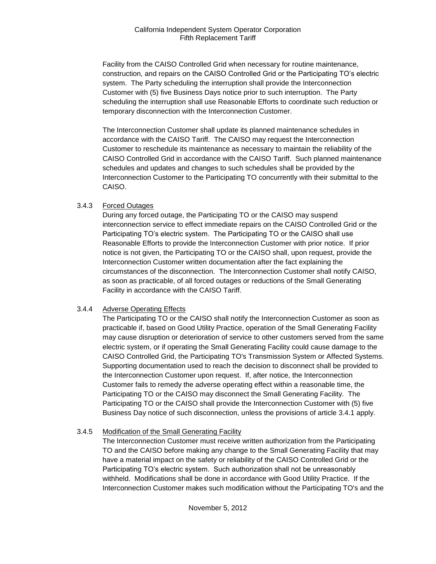Facility from the CAISO Controlled Grid when necessary for routine maintenance, construction, and repairs on the CAISO Controlled Grid or the Participating TO's electric system. The Party scheduling the interruption shall provide the Interconnection Customer with (5) five Business Days notice prior to such interruption. The Party scheduling the interruption shall use Reasonable Efforts to coordinate such reduction or temporary disconnection with the Interconnection Customer.

The Interconnection Customer shall update its planned maintenance schedules in accordance with the CAISO Tariff. The CAISO may request the Interconnection Customer to reschedule its maintenance as necessary to maintain the reliability of the CAISO Controlled Grid in accordance with the CAISO Tariff. Such planned maintenance schedules and updates and changes to such schedules shall be provided by the Interconnection Customer to the Participating TO concurrently with their submittal to the CAISO.

## 3.4.3 Forced Outages

During any forced outage, the Participating TO or the CAISO may suspend interconnection service to effect immediate repairs on the CAISO Controlled Grid or the Participating TO's electric system. The Participating TO or the CAISO shall use Reasonable Efforts to provide the Interconnection Customer with prior notice. If prior notice is not given, the Participating TO or the CAISO shall, upon request, provide the Interconnection Customer written documentation after the fact explaining the circumstances of the disconnection. The Interconnection Customer shall notify CAISO, as soon as practicable, of all forced outages or reductions of the Small Generating Facility in accordance with the CAISO Tariff.

## 3.4.4 Adverse Operating Effects

The Participating TO or the CAISO shall notify the Interconnection Customer as soon as practicable if, based on Good Utility Practice, operation of the Small Generating Facility may cause disruption or deterioration of service to other customers served from the same electric system, or if operating the Small Generating Facility could cause damage to the CAISO Controlled Grid, the Participating TO's Transmission System or Affected Systems. Supporting documentation used to reach the decision to disconnect shall be provided to the Interconnection Customer upon request. If, after notice, the Interconnection Customer fails to remedy the adverse operating effect within a reasonable time, the Participating TO or the CAISO may disconnect the Small Generating Facility. The Participating TO or the CAISO shall provide the Interconnection Customer with (5) five Business Day notice of such disconnection, unless the provisions of article 3.4.1 apply.

## 3.4.5 Modification of the Small Generating Facility

The Interconnection Customer must receive written authorization from the Participating TO and the CAISO before making any change to the Small Generating Facility that may have a material impact on the safety or reliability of the CAISO Controlled Grid or the Participating TO's electric system. Such authorization shall not be unreasonably withheld. Modifications shall be done in accordance with Good Utility Practice. If the Interconnection Customer makes such modification without the Participating TO's and the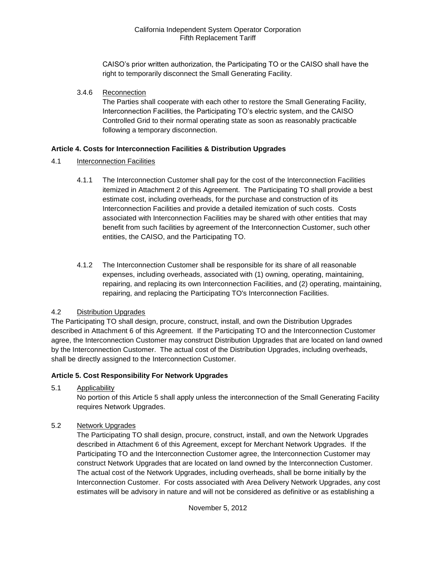CAISO's prior written authorization, the Participating TO or the CAISO shall have the right to temporarily disconnect the Small Generating Facility.

3.4.6 Reconnection

The Parties shall cooperate with each other to restore the Small Generating Facility, Interconnection Facilities, the Participating TO's electric system, and the CAISO Controlled Grid to their normal operating state as soon as reasonably practicable following a temporary disconnection.

## **Article 4. Costs for Interconnection Facilities & Distribution Upgrades**

- 4.1 Interconnection Facilities
	- 4.1.1 The Interconnection Customer shall pay for the cost of the Interconnection Facilities itemized in Attachment 2 of this Agreement. The Participating TO shall provide a best estimate cost, including overheads, for the purchase and construction of its Interconnection Facilities and provide a detailed itemization of such costs. Costs associated with Interconnection Facilities may be shared with other entities that may benefit from such facilities by agreement of the Interconnection Customer, such other entities, the CAISO, and the Participating TO.
	- 4.1.2 The Interconnection Customer shall be responsible for its share of all reasonable expenses, including overheads, associated with (1) owning, operating, maintaining, repairing, and replacing its own Interconnection Facilities, and (2) operating, maintaining, repairing, and replacing the Participating TO's Interconnection Facilities.

## 4.2 Distribution Upgrades

The Participating TO shall design, procure, construct, install, and own the Distribution Upgrades described in Attachment 6 of this Agreement. If the Participating TO and the Interconnection Customer agree, the Interconnection Customer may construct Distribution Upgrades that are located on land owned by the Interconnection Customer. The actual cost of the Distribution Upgrades, including overheads, shall be directly assigned to the Interconnection Customer.

## **Article 5. Cost Responsibility For Network Upgrades**

5.1 Applicability

No portion of this Article 5 shall apply unless the interconnection of the Small Generating Facility requires Network Upgrades.

5.2 Network Upgrades

The Participating TO shall design, procure, construct, install, and own the Network Upgrades described in Attachment 6 of this Agreement, except for Merchant Network Upgrades. If the Participating TO and the Interconnection Customer agree, the Interconnection Customer may construct Network Upgrades that are located on land owned by the Interconnection Customer. The actual cost of the Network Upgrades, including overheads, shall be borne initially by the Interconnection Customer. For costs associated with Area Delivery Network Upgrades, any cost estimates will be advisory in nature and will not be considered as definitive or as establishing a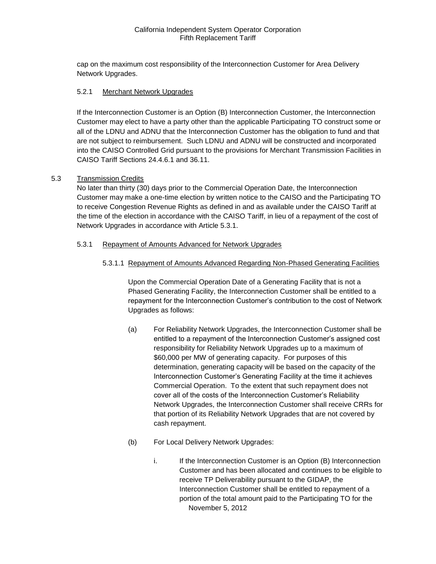cap on the maximum cost responsibility of the Interconnection Customer for Area Delivery Network Upgrades.

#### 5.2.1 Merchant Network Upgrades

If the Interconnection Customer is an Option (B) Interconnection Customer, the Interconnection Customer may elect to have a party other than the applicable Participating TO construct some or all of the LDNU and ADNU that the Interconnection Customer has the obligation to fund and that are not subject to reimbursement. Such LDNU and ADNU will be constructed and incorporated into the CAISO Controlled Grid pursuant to the provisions for Merchant Transmission Facilities in CAISO Tariff Sections 24.4.6.1 and 36.11.

#### 5.3 Transmission Credits

No later than thirty (30) days prior to the Commercial Operation Date, the Interconnection Customer may make a one-time election by written notice to the CAISO and the Participating TO to receive Congestion Revenue Rights as defined in and as available under the CAISO Tariff at the time of the election in accordance with the CAISO Tariff, in lieu of a repayment of the cost of Network Upgrades in accordance with Article 5.3.1.

#### 5.3.1 Repayment of Amounts Advanced for Network Upgrades

## 5.3.1.1 Repayment of Amounts Advanced Regarding Non-Phased Generating Facilities

Upon the Commercial Operation Date of a Generating Facility that is not a Phased Generating Facility, the Interconnection Customer shall be entitled to a repayment for the Interconnection Customer's contribution to the cost of Network Upgrades as follows:

- (a) For Reliability Network Upgrades, the Interconnection Customer shall be entitled to a repayment of the Interconnection Customer's assigned cost responsibility for Reliability Network Upgrades up to a maximum of \$60,000 per MW of generating capacity. For purposes of this determination, generating capacity will be based on the capacity of the Interconnection Customer's Generating Facility at the time it achieves Commercial Operation. To the extent that such repayment does not cover all of the costs of the Interconnection Customer's Reliability Network Upgrades, the Interconnection Customer shall receive CRRs for that portion of its Reliability Network Upgrades that are not covered by cash repayment.
- (b) For Local Delivery Network Upgrades:
	- November 5, 2012 i. If the Interconnection Customer is an Option (B) Interconnection Customer and has been allocated and continues to be eligible to receive TP Deliverability pursuant to the GIDAP, the Interconnection Customer shall be entitled to repayment of a portion of the total amount paid to the Participating TO for the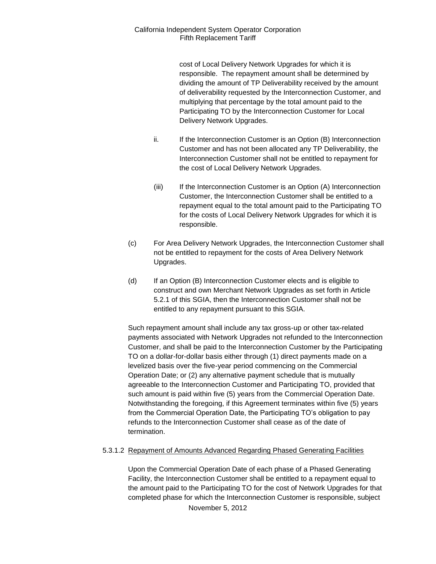cost of Local Delivery Network Upgrades for which it is responsible. The repayment amount shall be determined by dividing the amount of TP Deliverability received by the amount of deliverability requested by the Interconnection Customer, and multiplying that percentage by the total amount paid to the Participating TO by the Interconnection Customer for Local Delivery Network Upgrades.

- ii. If the Interconnection Customer is an Option (B) Interconnection Customer and has not been allocated any TP Deliverability, the Interconnection Customer shall not be entitled to repayment for the cost of Local Delivery Network Upgrades.
- (iii) If the Interconnection Customer is an Option (A) Interconnection Customer, the Interconnection Customer shall be entitled to a repayment equal to the total amount paid to the Participating TO for the costs of Local Delivery Network Upgrades for which it is responsible.
- (c) For Area Delivery Network Upgrades, the Interconnection Customer shall not be entitled to repayment for the costs of Area Delivery Network Upgrades.
- (d) If an Option (B) Interconnection Customer elects and is eligible to construct and own Merchant Network Upgrades as set forth in Article 5.2.1 of this SGIA, then the Interconnection Customer shall not be entitled to any repayment pursuant to this SGIA.

Such repayment amount shall include any tax gross-up or other tax-related payments associated with Network Upgrades not refunded to the Interconnection Customer, and shall be paid to the Interconnection Customer by the Participating TO on a dollar-for-dollar basis either through (1) direct payments made on a levelized basis over the five-year period commencing on the Commercial Operation Date; or (2) any alternative payment schedule that is mutually agreeable to the Interconnection Customer and Participating TO, provided that such amount is paid within five (5) years from the Commercial Operation Date. Notwithstanding the foregoing, if this Agreement terminates within five (5) years from the Commercial Operation Date, the Participating TO's obligation to pay refunds to the Interconnection Customer shall cease as of the date of termination.

## 5.3.1.2 Repayment of Amounts Advanced Regarding Phased Generating Facilities

Upon the Commercial Operation Date of each phase of a Phased Generating Facility, the Interconnection Customer shall be entitled to a repayment equal to the amount paid to the Participating TO for the cost of Network Upgrades for that completed phase for which the Interconnection Customer is responsible, subject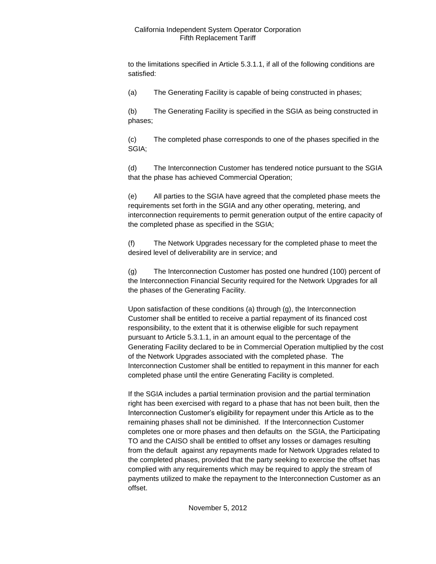to the limitations specified in Article 5.3.1.1, if all of the following conditions are satisfied:

(a) The Generating Facility is capable of being constructed in phases;

(b) The Generating Facility is specified in the SGIA as being constructed in phases;

(c) The completed phase corresponds to one of the phases specified in the SGIA;

(d) The Interconnection Customer has tendered notice pursuant to the SGIA that the phase has achieved Commercial Operation;

(e) All parties to the SGIA have agreed that the completed phase meets the requirements set forth in the SGIA and any other operating, metering, and interconnection requirements to permit generation output of the entire capacity of the completed phase as specified in the SGIA;

(f) The Network Upgrades necessary for the completed phase to meet the desired level of deliverability are in service; and

(g) The Interconnection Customer has posted one hundred (100) percent of the Interconnection Financial Security required for the Network Upgrades for all the phases of the Generating Facility.

Upon satisfaction of these conditions (a) through (g), the Interconnection Customer shall be entitled to receive a partial repayment of its financed cost responsibility, to the extent that it is otherwise eligible for such repayment pursuant to Article 5.3.1.1, in an amount equal to the percentage of the Generating Facility declared to be in Commercial Operation multiplied by the cost of the Network Upgrades associated with the completed phase. The Interconnection Customer shall be entitled to repayment in this manner for each completed phase until the entire Generating Facility is completed.

If the SGIA includes a partial termination provision and the partial termination right has been exercised with regard to a phase that has not been built, then the Interconnection Customer's eligibility for repayment under this Article as to the remaining phases shall not be diminished. If the Interconnection Customer completes one or more phases and then defaults on the SGIA, the Participating TO and the CAISO shall be entitled to offset any losses or damages resulting from the default against any repayments made for Network Upgrades related to the completed phases, provided that the party seeking to exercise the offset has complied with any requirements which may be required to apply the stream of payments utilized to make the repayment to the Interconnection Customer as an offset.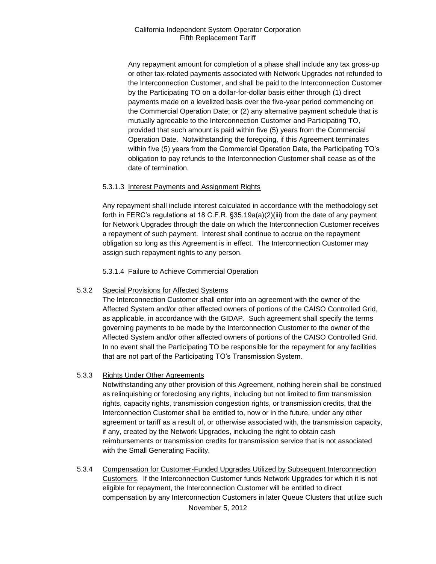Any repayment amount for completion of a phase shall include any tax gross-up or other tax-related payments associated with Network Upgrades not refunded to the Interconnection Customer, and shall be paid to the Interconnection Customer by the Participating TO on a dollar-for-dollar basis either through (1) direct payments made on a levelized basis over the five-year period commencing on the Commercial Operation Date; or (2) any alternative payment schedule that is mutually agreeable to the Interconnection Customer and Participating TO, provided that such amount is paid within five (5) years from the Commercial Operation Date. Notwithstanding the foregoing, if this Agreement terminates within five (5) years from the Commercial Operation Date, the Participating TO's obligation to pay refunds to the Interconnection Customer shall cease as of the date of termination.

## 5.3.1.3 Interest Payments and Assignment Rights

Any repayment shall include interest calculated in accordance with the methodology set forth in FERC's regulations at 18 C.F.R. §35.19a(a)(2)(iii) from the date of any payment for Network Upgrades through the date on which the Interconnection Customer receives a repayment of such payment. Interest shall continue to accrue on the repayment obligation so long as this Agreement is in effect. The Interconnection Customer may assign such repayment rights to any person.

5.3.1.4 Failure to Achieve Commercial Operation

## 5.3.2 Special Provisions for Affected Systems

The Interconnection Customer shall enter into an agreement with the owner of the Affected System and/or other affected owners of portions of the CAISO Controlled Grid, as applicable, in accordance with the GIDAP. Such agreement shall specify the terms governing payments to be made by the Interconnection Customer to the owner of the Affected System and/or other affected owners of portions of the CAISO Controlled Grid. In no event shall the Participating TO be responsible for the repayment for any facilities that are not part of the Participating TO's Transmission System.

## 5.3.3 Rights Under Other Agreements

Notwithstanding any other provision of this Agreement, nothing herein shall be construed as relinquishing or foreclosing any rights, including but not limited to firm transmission rights, capacity rights, transmission congestion rights, or transmission credits, that the Interconnection Customer shall be entitled to, now or in the future, under any other agreement or tariff as a result of, or otherwise associated with, the transmission capacity, if any, created by the Network Upgrades, including the right to obtain cash reimbursements or transmission credits for transmission service that is not associated with the Small Generating Facility.

5.3.4 Compensation for Customer-Funded Upgrades Utilized by Subsequent Interconnection Customers. If the Interconnection Customer funds Network Upgrades for which it is not eligible for repayment, the Interconnection Customer will be entitled to direct compensation by any Interconnection Customers in later Queue Clusters that utilize such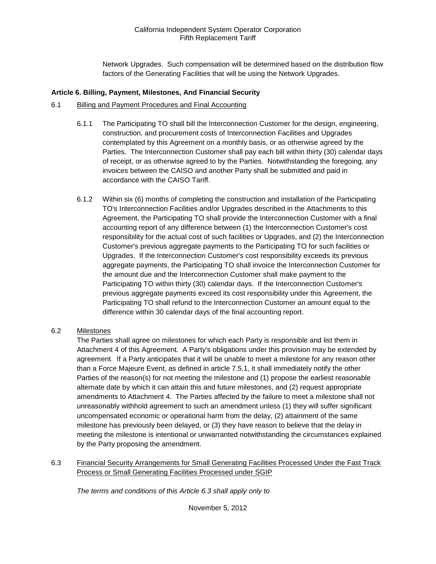Network Upgrades. Such compensation will be determined based on the distribution flow factors of the Generating Facilities that will be using the Network Upgrades.

#### **Article 6. Billing, Payment, Milestones, And Financial Security**

#### 6.1 Billing and Payment Procedures and Final Accounting

- 6.1.1 The Participating TO shall bill the Interconnection Customer for the design, engineering, construction, and procurement costs of Interconnection Facilities and Upgrades contemplated by this Agreement on a monthly basis, or as otherwise agreed by the Parties. The Interconnection Customer shall pay each bill within thirty (30) calendar days of receipt, or as otherwise agreed to by the Parties. Notwithstanding the foregoing, any invoices between the CAISO and another Party shall be submitted and paid in accordance with the CAISO Tariff.
- 6.1.2 Within six (6) months of completing the construction and installation of the Participating TO's Interconnection Facilities and/or Upgrades described in the Attachments to this Agreement, the Participating TO shall provide the Interconnection Customer with a final accounting report of any difference between (1) the Interconnection Customer's cost responsibility for the actual cost of such facilities or Upgrades, and (2) the Interconnection Customer's previous aggregate payments to the Participating TO for such facilities or Upgrades. If the Interconnection Customer's cost responsibility exceeds its previous aggregate payments, the Participating TO shall invoice the Interconnection Customer for the amount due and the Interconnection Customer shall make payment to the Participating TO within thirty (30) calendar days. If the Interconnection Customer's previous aggregate payments exceed its cost responsibility under this Agreement, the Participating TO shall refund to the Interconnection Customer an amount equal to the difference within 30 calendar days of the final accounting report.

## 6.2 Milestones

The Parties shall agree on milestones for which each Party is responsible and list them in Attachment 4 of this Agreement. A Party's obligations under this provision may be extended by agreement. If a Party anticipates that it will be unable to meet a milestone for any reason other than a Force Majeure Event, as defined in article 7.5.1, it shall immediately notify the other Parties of the reason(s) for not meeting the milestone and (1) propose the earliest reasonable alternate date by which it can attain this and future milestones, and (2) request appropriate amendments to Attachment 4. The Parties affected by the failure to meet a milestone shall not unreasonably withhold agreement to such an amendment unless (1) they will suffer significant uncompensated economic or operational harm from the delay, (2) attainment of the same milestone has previously been delayed, or (3) they have reason to believe that the delay in meeting the milestone is intentional or unwarranted notwithstanding the circumstances explained by the Party proposing the amendment.

6.3 Financial Security Arrangements for Small Generating Facilities Processed Under the Fast Track Process or Small Generating Facilities Processed under SGIP

*The terms and conditions of this Article 6.3 shall apply only to* 

November 5, 2012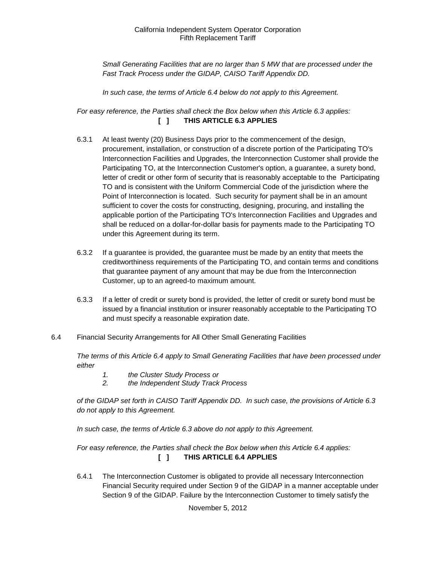*Small Generating Facilities that are no larger than 5 MW that are processed under the Fast Track Process under the GIDAP, CAISO Tariff Appendix DD.*

*In such case, the terms of Article 6.4 below do not apply to this Agreement.*

*For easy reference, the Parties shall check the Box below when this Article 6.3 applies:*  **[ ] THIS ARTICLE 6.3 APPLIES**

- 6.3.1 At least twenty (20) Business Days prior to the commencement of the design, procurement, installation, or construction of a discrete portion of the Participating TO's Interconnection Facilities and Upgrades, the Interconnection Customer shall provide the Participating TO, at the Interconnection Customer's option, a guarantee, a surety bond, letter of credit or other form of security that is reasonably acceptable to the Participating TO and is consistent with the Uniform Commercial Code of the jurisdiction where the Point of Interconnection is located. Such security for payment shall be in an amount sufficient to cover the costs for constructing, designing, procuring, and installing the applicable portion of the Participating TO's Interconnection Facilities and Upgrades and shall be reduced on a dollar-for-dollar basis for payments made to the Participating TO under this Agreement during its term.
- 6.3.2 If a guarantee is provided, the guarantee must be made by an entity that meets the creditworthiness requirements of the Participating TO, and contain terms and conditions that guarantee payment of any amount that may be due from the Interconnection Customer, up to an agreed-to maximum amount.
- 6.3.3 If a letter of credit or surety bond is provided, the letter of credit or surety bond must be issued by a financial institution or insurer reasonably acceptable to the Participating TO and must specify a reasonable expiration date.
- 6.4 Financial Security Arrangements for All Other Small Generating Facilities

*The terms of this Article 6.4 apply to Small Generating Facilities that have been processed under either* 

- *1. the Cluster Study Process or*
- *2. the Independent Study Track Process*

*of the GIDAP set forth in CAISO Tariff Appendix DD. In such case, the provisions of Article 6.3 do not apply to this Agreement.*

*In such case, the terms of Article 6.3 above do not apply to this Agreement.* 

*For easy reference, the Parties shall check the Box below when this Article 6.4 applies:*  **[ ] THIS ARTICLE 6.4 APPLIES**

6.4.1 The Interconnection Customer is obligated to provide all necessary Interconnection Financial Security required under Section 9 of the GIDAP in a manner acceptable under Section 9 of the GIDAP. Failure by the Interconnection Customer to timely satisfy the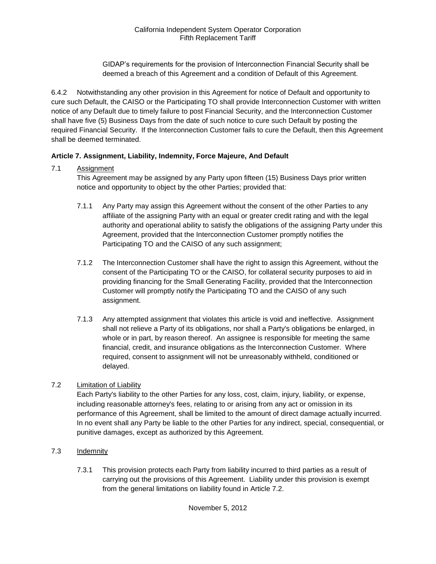GIDAP's requirements for the provision of Interconnection Financial Security shall be deemed a breach of this Agreement and a condition of Default of this Agreement.

6.4.2 Notwithstanding any other provision in this Agreement for notice of Default and opportunity to cure such Default, the CAISO or the Participating TO shall provide Interconnection Customer with written notice of any Default due to timely failure to post Financial Security, and the Interconnection Customer shall have five (5) Business Days from the date of such notice to cure such Default by posting the required Financial Security. If the Interconnection Customer fails to cure the Default, then this Agreement shall be deemed terminated.

## **Article 7. Assignment, Liability, Indemnity, Force Majeure, And Default**

## 7.1 Assignment

This Agreement may be assigned by any Party upon fifteen (15) Business Days prior written notice and opportunity to object by the other Parties; provided that:

- 7.1.1 Any Party may assign this Agreement without the consent of the other Parties to any affiliate of the assigning Party with an equal or greater credit rating and with the legal authority and operational ability to satisfy the obligations of the assigning Party under this Agreement, provided that the Interconnection Customer promptly notifies the Participating TO and the CAISO of any such assignment;
- 7.1.2 The Interconnection Customer shall have the right to assign this Agreement, without the consent of the Participating TO or the CAISO, for collateral security purposes to aid in providing financing for the Small Generating Facility, provided that the Interconnection Customer will promptly notify the Participating TO and the CAISO of any such assignment.
- 7.1.3 Any attempted assignment that violates this article is void and ineffective. Assignment shall not relieve a Party of its obligations, nor shall a Party's obligations be enlarged, in whole or in part, by reason thereof. An assignee is responsible for meeting the same financial, credit, and insurance obligations as the Interconnection Customer. Where required, consent to assignment will not be unreasonably withheld, conditioned or delayed.

## 7.2 Limitation of Liability

Each Party's liability to the other Parties for any loss, cost, claim, injury, liability, or expense, including reasonable attorney's fees, relating to or arising from any act or omission in its performance of this Agreement, shall be limited to the amount of direct damage actually incurred. In no event shall any Party be liable to the other Parties for any indirect, special, consequential, or punitive damages, except as authorized by this Agreement.

- 7.3 Indemnity
	- 7.3.1 This provision protects each Party from liability incurred to third parties as a result of carrying out the provisions of this Agreement. Liability under this provision is exempt from the general limitations on liability found in Article 7.2.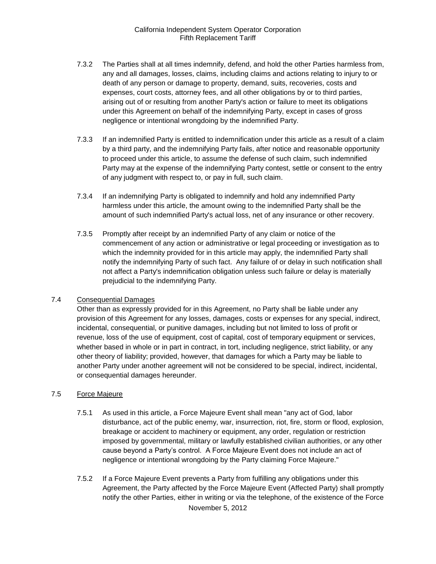- 7.3.2 The Parties shall at all times indemnify, defend, and hold the other Parties harmless from, any and all damages, losses, claims, including claims and actions relating to injury to or death of any person or damage to property, demand, suits, recoveries, costs and expenses, court costs, attorney fees, and all other obligations by or to third parties, arising out of or resulting from another Party's action or failure to meet its obligations under this Agreement on behalf of the indemnifying Party, except in cases of gross negligence or intentional wrongdoing by the indemnified Party.
- 7.3.3 If an indemnified Party is entitled to indemnification under this article as a result of a claim by a third party, and the indemnifying Party fails, after notice and reasonable opportunity to proceed under this article, to assume the defense of such claim, such indemnified Party may at the expense of the indemnifying Party contest, settle or consent to the entry of any judgment with respect to, or pay in full, such claim.
- 7.3.4 If an indemnifying Party is obligated to indemnify and hold any indemnified Party harmless under this article, the amount owing to the indemnified Party shall be the amount of such indemnified Party's actual loss, net of any insurance or other recovery.
- 7.3.5 Promptly after receipt by an indemnified Party of any claim or notice of the commencement of any action or administrative or legal proceeding or investigation as to which the indemnity provided for in this article may apply, the indemnified Party shall notify the indemnifying Party of such fact. Any failure of or delay in such notification shall not affect a Party's indemnification obligation unless such failure or delay is materially prejudicial to the indemnifying Party.

## 7.4 Consequential Damages

Other than as expressly provided for in this Agreement, no Party shall be liable under any provision of this Agreement for any losses, damages, costs or expenses for any special, indirect, incidental, consequential, or punitive damages, including but not limited to loss of profit or revenue, loss of the use of equipment, cost of capital, cost of temporary equipment or services, whether based in whole or in part in contract, in tort, including negligence, strict liability, or any other theory of liability; provided, however, that damages for which a Party may be liable to another Party under another agreement will not be considered to be special, indirect, incidental, or consequential damages hereunder.

#### 7.5 Force Majeure

- 7.5.1 As used in this article, a Force Majeure Event shall mean "any act of God, labor disturbance, act of the public enemy, war, insurrection, riot, fire, storm or flood, explosion, breakage or accident to machinery or equipment, any order, regulation or restriction imposed by governmental, military or lawfully established civilian authorities, or any other cause beyond a Party's control. A Force Majeure Event does not include an act of negligence or intentional wrongdoing by the Party claiming Force Majeure."
- 7.5.2 If a Force Majeure Event prevents a Party from fulfilling any obligations under this Agreement, the Party affected by the Force Majeure Event (Affected Party) shall promptly notify the other Parties, either in writing or via the telephone, of the existence of the Force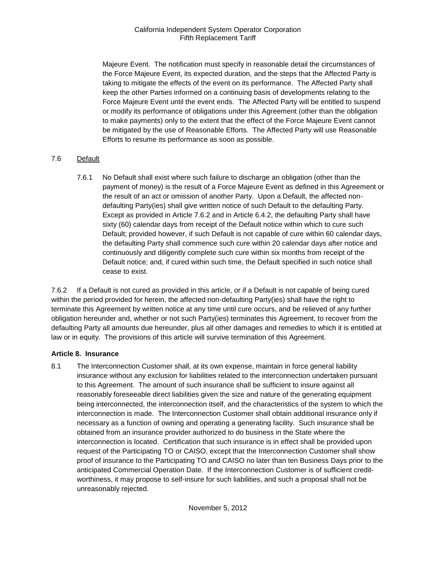Majeure Event. The notification must specify in reasonable detail the circumstances of the Force Majeure Event, its expected duration, and the steps that the Affected Party is taking to mitigate the effects of the event on its performance. The Affected Party shall keep the other Parties informed on a continuing basis of developments relating to the Force Majeure Event until the event ends. The Affected Party will be entitled to suspend or modify its performance of obligations under this Agreement (other than the obligation to make payments) only to the extent that the effect of the Force Majeure Event cannot be mitigated by the use of Reasonable Efforts. The Affected Party will use Reasonable Efforts to resume its performance as soon as possible.

## 7.6 Default

7.6.1 No Default shall exist where such failure to discharge an obligation (other than the payment of money) is the result of a Force Majeure Event as defined in this Agreement or the result of an act or omission of another Party. Upon a Default, the affected nondefaulting Party(ies) shall give written notice of such Default to the defaulting Party. Except as provided in Article 7.6.2 and in Article 6.4.2, the defaulting Party shall have sixty (60) calendar days from receipt of the Default notice within which to cure such Default; provided however, if such Default is not capable of cure within 60 calendar days, the defaulting Party shall commence such cure within 20 calendar days after notice and continuously and diligently complete such cure within six months from receipt of the Default notice; and, if cured within such time, the Default specified in such notice shall cease to exist.

7.6.2 If a Default is not cured as provided in this article, or if a Default is not capable of being cured within the period provided for herein, the affected non-defaulting Party(ies) shall have the right to terminate this Agreement by written notice at any time until cure occurs, and be relieved of any further obligation hereunder and, whether or not such Party(ies) terminates this Agreement, to recover from the defaulting Party all amounts due hereunder, plus all other damages and remedies to which it is entitled at law or in equity. The provisions of this article will survive termination of this Agreement.

## **Article 8. Insurance**

8.1 The Interconnection Customer shall, at its own expense, maintain in force general liability insurance without any exclusion for liabilities related to the interconnection undertaken pursuant to this Agreement. The amount of such insurance shall be sufficient to insure against all reasonably foreseeable direct liabilities given the size and nature of the generating equipment being interconnected, the interconnection itself, and the characteristics of the system to which the interconnection is made. The Interconnection Customer shall obtain additional insurance only if necessary as a function of owning and operating a generating facility. Such insurance shall be obtained from an insurance provider authorized to do business in the State where the interconnection is located. Certification that such insurance is in effect shall be provided upon request of the Participating TO or CAISO, except that the Interconnection Customer shall show proof of insurance to the Participating TO and CAISO no later than ten Business Days prior to the anticipated Commercial Operation Date. If the Interconnection Customer is of sufficient creditworthiness, it may propose to self-insure for such liabilities, and such a proposal shall not be unreasonably rejected.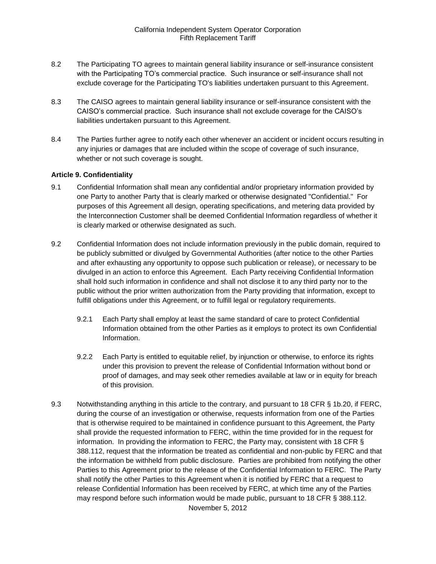- 8.2 The Participating TO agrees to maintain general liability insurance or self-insurance consistent with the Participating TO's commercial practice. Such insurance or self-insurance shall not exclude coverage for the Participating TO's liabilities undertaken pursuant to this Agreement.
- 8.3 The CAISO agrees to maintain general liability insurance or self-insurance consistent with the CAISO's commercial practice. Such insurance shall not exclude coverage for the CAISO's liabilities undertaken pursuant to this Agreement.
- 8.4 The Parties further agree to notify each other whenever an accident or incident occurs resulting in any injuries or damages that are included within the scope of coverage of such insurance, whether or not such coverage is sought.

#### **Article 9. Confidentiality**

- 9.1 Confidential Information shall mean any confidential and/or proprietary information provided by one Party to another Party that is clearly marked or otherwise designated "Confidential." For purposes of this Agreement all design, operating specifications, and metering data provided by the Interconnection Customer shall be deemed Confidential Information regardless of whether it is clearly marked or otherwise designated as such.
- 9.2 Confidential Information does not include information previously in the public domain, required to be publicly submitted or divulged by Governmental Authorities (after notice to the other Parties and after exhausting any opportunity to oppose such publication or release), or necessary to be divulged in an action to enforce this Agreement. Each Party receiving Confidential Information shall hold such information in confidence and shall not disclose it to any third party nor to the public without the prior written authorization from the Party providing that information, except to fulfill obligations under this Agreement, or to fulfill legal or regulatory requirements.
	- 9.2.1 Each Party shall employ at least the same standard of care to protect Confidential Information obtained from the other Parties as it employs to protect its own Confidential Information.
	- 9.2.2 Each Party is entitled to equitable relief, by injunction or otherwise, to enforce its rights under this provision to prevent the release of Confidential Information without bond or proof of damages, and may seek other remedies available at law or in equity for breach of this provision.
- 9.3 Notwithstanding anything in this article to the contrary, and pursuant to 18 CFR § 1b.20, if FERC, during the course of an investigation or otherwise, requests information from one of the Parties that is otherwise required to be maintained in confidence pursuant to this Agreement, the Party shall provide the requested information to FERC, within the time provided for in the request for information. In providing the information to FERC, the Party may, consistent with 18 CFR § 388.112, request that the information be treated as confidential and non-public by FERC and that the information be withheld from public disclosure. Parties are prohibited from notifying the other Parties to this Agreement prior to the release of the Confidential Information to FERC. The Party shall notify the other Parties to this Agreement when it is notified by FERC that a request to release Confidential Information has been received by FERC, at which time any of the Parties may respond before such information would be made public, pursuant to 18 CFR § 388.112.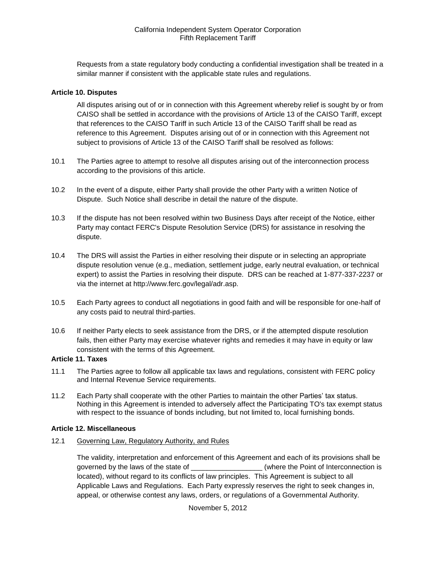Requests from a state regulatory body conducting a confidential investigation shall be treated in a similar manner if consistent with the applicable state rules and regulations.

#### **Article 10. Disputes**

All disputes arising out of or in connection with this Agreement whereby relief is sought by or from CAISO shall be settled in accordance with the provisions of Article 13 of the CAISO Tariff, except that references to the CAISO Tariff in such Article 13 of the CAISO Tariff shall be read as reference to this Agreement. Disputes arising out of or in connection with this Agreement not subject to provisions of Article 13 of the CAISO Tariff shall be resolved as follows:

- 10.1 The Parties agree to attempt to resolve all disputes arising out of the interconnection process according to the provisions of this article.
- 10.2 In the event of a dispute, either Party shall provide the other Party with a written Notice of Dispute. Such Notice shall describe in detail the nature of the dispute.
- 10.3 If the dispute has not been resolved within two Business Days after receipt of the Notice, either Party may contact FERC's Dispute Resolution Service (DRS) for assistance in resolving the dispute.
- 10.4 The DRS will assist the Parties in either resolving their dispute or in selecting an appropriate dispute resolution venue (e.g., mediation, settlement judge, early neutral evaluation, or technical expert) to assist the Parties in resolving their dispute. DRS can be reached at 1-877-337-2237 or via the internet at http://www.ferc.gov/legal/adr.asp.
- 10.5 Each Party agrees to conduct all negotiations in good faith and will be responsible for one-half of any costs paid to neutral third-parties.
- 10.6 If neither Party elects to seek assistance from the DRS, or if the attempted dispute resolution fails, then either Party may exercise whatever rights and remedies it may have in equity or law consistent with the terms of this Agreement.

#### **Article 11. Taxes**

- 11.1 The Parties agree to follow all applicable tax laws and regulations, consistent with FERC policy and Internal Revenue Service requirements.
- 11.2 Each Party shall cooperate with the other Parties to maintain the other Parties' tax status. Nothing in this Agreement is intended to adversely affect the Participating TO's tax exempt status with respect to the issuance of bonds including, but not limited to, local furnishing bonds.

#### **Article 12. Miscellaneous**

12.1 Governing Law, Regulatory Authority, and Rules

The validity, interpretation and enforcement of this Agreement and each of its provisions shall be governed by the laws of the state of  $\blacksquare$  (where the Point of Interconnection is located), without regard to its conflicts of law principles. This Agreement is subject to all Applicable Laws and Regulations. Each Party expressly reserves the right to seek changes in, appeal, or otherwise contest any laws, orders, or regulations of a Governmental Authority.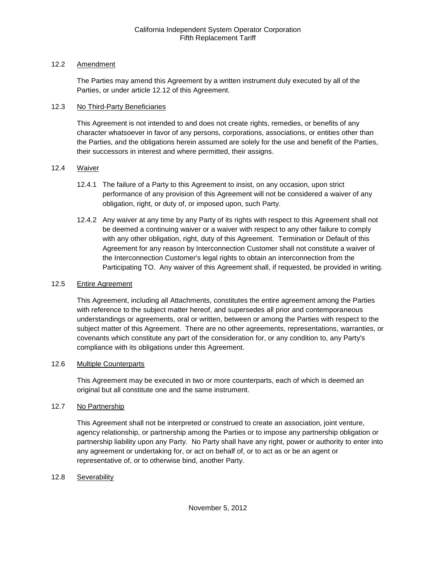## 12.2 Amendment

The Parties may amend this Agreement by a written instrument duly executed by all of the Parties, or under article 12.12 of this Agreement.

## 12.3 No Third-Party Beneficiaries

This Agreement is not intended to and does not create rights, remedies, or benefits of any character whatsoever in favor of any persons, corporations, associations, or entities other than the Parties, and the obligations herein assumed are solely for the use and benefit of the Parties, their successors in interest and where permitted, their assigns.

## 12.4 Waiver

- 12.4.1 The failure of a Party to this Agreement to insist, on any occasion, upon strict performance of any provision of this Agreement will not be considered a waiver of any obligation, right, or duty of, or imposed upon, such Party.
- 12.4.2 Any waiver at any time by any Party of its rights with respect to this Agreement shall not be deemed a continuing waiver or a waiver with respect to any other failure to comply with any other obligation, right, duty of this Agreement. Termination or Default of this Agreement for any reason by Interconnection Customer shall not constitute a waiver of the Interconnection Customer's legal rights to obtain an interconnection from the Participating TO. Any waiver of this Agreement shall, if requested, be provided in writing.

## 12.5 Entire Agreement

This Agreement, including all Attachments, constitutes the entire agreement among the Parties with reference to the subject matter hereof, and supersedes all prior and contemporaneous understandings or agreements, oral or written, between or among the Parties with respect to the subject matter of this Agreement. There are no other agreements, representations, warranties, or covenants which constitute any part of the consideration for, or any condition to, any Party's compliance with its obligations under this Agreement.

## 12.6 Multiple Counterparts

This Agreement may be executed in two or more counterparts, each of which is deemed an original but all constitute one and the same instrument.

## 12.7 No Partnership

This Agreement shall not be interpreted or construed to create an association, joint venture, agency relationship, or partnership among the Parties or to impose any partnership obligation or partnership liability upon any Party. No Party shall have any right, power or authority to enter into any agreement or undertaking for, or act on behalf of, or to act as or be an agent or representative of, or to otherwise bind, another Party.

## 12.8 Severability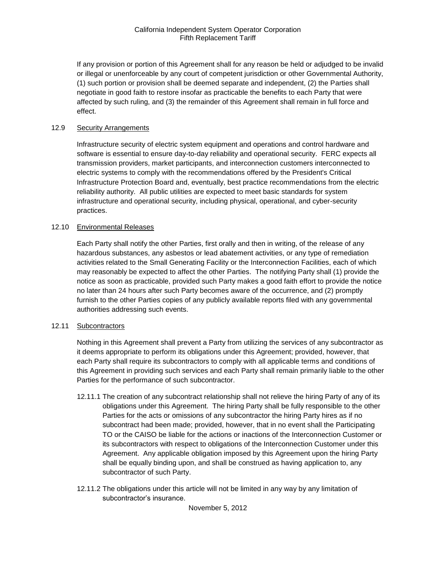If any provision or portion of this Agreement shall for any reason be held or adjudged to be invalid or illegal or unenforceable by any court of competent jurisdiction or other Governmental Authority, (1) such portion or provision shall be deemed separate and independent, (2) the Parties shall negotiate in good faith to restore insofar as practicable the benefits to each Party that were affected by such ruling, and (3) the remainder of this Agreement shall remain in full force and effect.

#### 12.9 Security Arrangements

Infrastructure security of electric system equipment and operations and control hardware and software is essential to ensure day-to-day reliability and operational security. FERC expects all transmission providers, market participants, and interconnection customers interconnected to electric systems to comply with the recommendations offered by the President's Critical Infrastructure Protection Board and, eventually, best practice recommendations from the electric reliability authority. All public utilities are expected to meet basic standards for system infrastructure and operational security, including physical, operational, and cyber-security practices.

#### 12.10 Environmental Releases

Each Party shall notify the other Parties, first orally and then in writing, of the release of any hazardous substances, any asbestos or lead abatement activities, or any type of remediation activities related to the Small Generating Facility or the Interconnection Facilities, each of which may reasonably be expected to affect the other Parties. The notifying Party shall (1) provide the notice as soon as practicable, provided such Party makes a good faith effort to provide the notice no later than 24 hours after such Party becomes aware of the occurrence, and (2) promptly furnish to the other Parties copies of any publicly available reports filed with any governmental authorities addressing such events.

#### 12.11 Subcontractors

Nothing in this Agreement shall prevent a Party from utilizing the services of any subcontractor as it deems appropriate to perform its obligations under this Agreement; provided, however, that each Party shall require its subcontractors to comply with all applicable terms and conditions of this Agreement in providing such services and each Party shall remain primarily liable to the other Parties for the performance of such subcontractor.

- 12.11.1 The creation of any subcontract relationship shall not relieve the hiring Party of any of its obligations under this Agreement. The hiring Party shall be fully responsible to the other Parties for the acts or omissions of any subcontractor the hiring Party hires as if no subcontract had been made; provided, however, that in no event shall the Participating TO or the CAISO be liable for the actions or inactions of the Interconnection Customer or its subcontractors with respect to obligations of the Interconnection Customer under this Agreement. Any applicable obligation imposed by this Agreement upon the hiring Party shall be equally binding upon, and shall be construed as having application to, any subcontractor of such Party.
- 12.11.2 The obligations under this article will not be limited in any way by any limitation of subcontractor's insurance.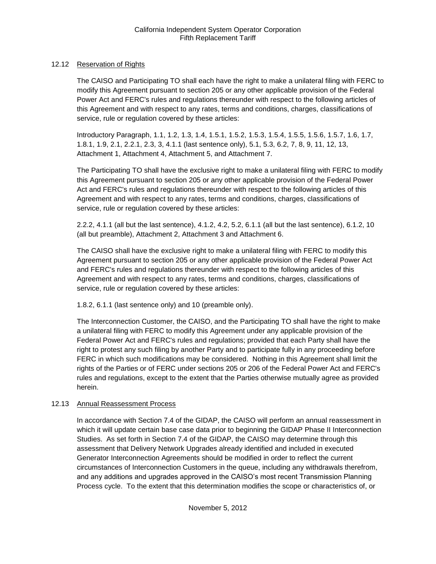## 12.12 Reservation of Rights

The CAISO and Participating TO shall each have the right to make a unilateral filing with FERC to modify this Agreement pursuant to section 205 or any other applicable provision of the Federal Power Act and FERC's rules and regulations thereunder with respect to the following articles of this Agreement and with respect to any rates, terms and conditions, charges, classifications of service, rule or regulation covered by these articles:

Introductory Paragraph, 1.1, 1.2, 1.3, 1.4, 1.5.1, 1.5.2, 1.5.3, 1.5.4, 1.5.5, 1.5.6, 1.5.7, 1.6, 1.7, 1.8.1, 1.9, 2.1, 2.2.1, 2.3, 3, 4.1.1 (last sentence only), 5.1, 5.3, 6.2, 7, 8, 9, 11, 12, 13, Attachment 1, Attachment 4, Attachment 5, and Attachment 7.

The Participating TO shall have the exclusive right to make a unilateral filing with FERC to modify this Agreement pursuant to section 205 or any other applicable provision of the Federal Power Act and FERC's rules and regulations thereunder with respect to the following articles of this Agreement and with respect to any rates, terms and conditions, charges, classifications of service, rule or regulation covered by these articles:

2.2.2, 4.1.1 (all but the last sentence), 4.1.2, 4.2, 5.2, 6.1.1 (all but the last sentence), 6.1.2, 10 (all but preamble), Attachment 2, Attachment 3 and Attachment 6.

The CAISO shall have the exclusive right to make a unilateral filing with FERC to modify this Agreement pursuant to section 205 or any other applicable provision of the Federal Power Act and FERC's rules and regulations thereunder with respect to the following articles of this Agreement and with respect to any rates, terms and conditions, charges, classifications of service, rule or regulation covered by these articles:

1.8.2, 6.1.1 (last sentence only) and 10 (preamble only).

The Interconnection Customer, the CAISO, and the Participating TO shall have the right to make a unilateral filing with FERC to modify this Agreement under any applicable provision of the Federal Power Act and FERC's rules and regulations; provided that each Party shall have the right to protest any such filing by another Party and to participate fully in any proceeding before FERC in which such modifications may be considered. Nothing in this Agreement shall limit the rights of the Parties or of FERC under sections 205 or 206 of the Federal Power Act and FERC's rules and regulations, except to the extent that the Parties otherwise mutually agree as provided herein.

## 12.13 Annual Reassessment Process

In accordance with Section 7.4 of the GIDAP, the CAISO will perform an annual reassessment in which it will update certain base case data prior to beginning the GIDAP Phase II Interconnection Studies. As set forth in Section 7.4 of the GIDAP, the CAISO may determine through this assessment that Delivery Network Upgrades already identified and included in executed Generator Interconnection Agreements should be modified in order to reflect the current circumstances of Interconnection Customers in the queue, including any withdrawals therefrom, and any additions and upgrades approved in the CAISO's most recent Transmission Planning Process cycle. To the extent that this determination modifies the scope or characteristics of, or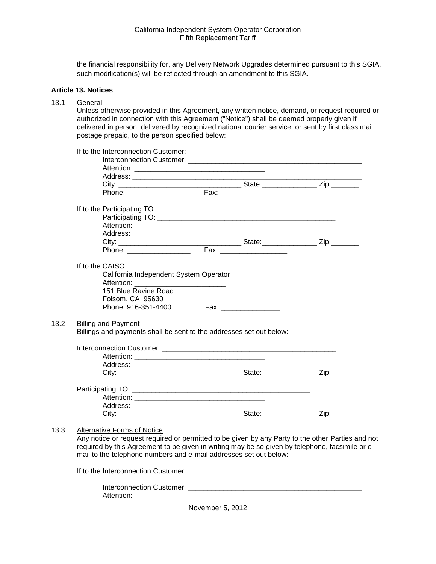the financial responsibility for, any Delivery Network Upgrades determined pursuant to this SGIA, such modification(s) will be reflected through an amendment to this SGIA.

#### **Article 13. Notices**

## 13.1 General

 $13.2$ 

 $13.3$ 

Unless otherwise provided in this Agreement, any written notice, demand, or request required or authorized in connection with this Agreement ("Notice") shall be deemed properly given if delivered in person, delivered by recognized national courier service, or sent by first class mail, postage prepaid, to the person specified below:

| If to the Participating TO:                                         |                           |  |
|---------------------------------------------------------------------|---------------------------|--|
|                                                                     |                           |  |
|                                                                     |                           |  |
|                                                                     |                           |  |
|                                                                     |                           |  |
|                                                                     |                           |  |
| If to the CAISO:                                                    |                           |  |
| California Independent System Operator                              |                           |  |
|                                                                     |                           |  |
|                                                                     |                           |  |
| Folsom, CA 95630                                                    |                           |  |
| Phone: 916-351-4400                                                 | Fax: ____________________ |  |
| <b>Billing and Payment</b>                                          |                           |  |
| Billings and payments shall be sent to the addresses set out below: |                           |  |
|                                                                     |                           |  |
|                                                                     |                           |  |
|                                                                     |                           |  |
|                                                                     |                           |  |
|                                                                     |                           |  |
|                                                                     |                           |  |
|                                                                     |                           |  |
|                                                                     |                           |  |
|                                                                     |                           |  |
|                                                                     |                           |  |

If to the Interconnection Customer:

Interconnection Customer: Attention: \_\_\_\_\_\_\_\_\_\_\_\_\_\_\_\_\_\_\_\_\_\_\_\_\_\_\_\_\_\_\_\_\_

November 5, 2012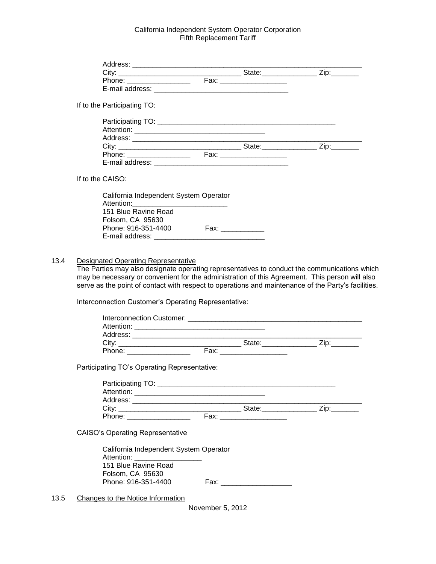| If to the Participating TO:                                                                         |                  |                           |  |
|-----------------------------------------------------------------------------------------------------|------------------|---------------------------|--|
|                                                                                                     |                  |                           |  |
|                                                                                                     |                  |                           |  |
|                                                                                                     |                  |                           |  |
|                                                                                                     |                  |                           |  |
|                                                                                                     |                  |                           |  |
|                                                                                                     |                  |                           |  |
| If to the CAISO:                                                                                    |                  |                           |  |
| California Independent System Operator                                                              |                  |                           |  |
| 151 Blue Ravine Road                                                                                |                  |                           |  |
| Folsom, CA 95630                                                                                    |                  |                           |  |
| Phone: 916-351-4400 Fax: __________                                                                 |                  |                           |  |
|                                                                                                     |                  |                           |  |
|                                                                                                     |                  |                           |  |
| <b>Designated Operating Representative</b>                                                          |                  |                           |  |
| The Parties may also designate operating representatives to conduct the communications which        |                  |                           |  |
| may be necessary or convenient for the administration of this Agreement. This person will also      |                  |                           |  |
| serve as the point of contact with respect to operations and maintenance of the Party's facilities. |                  |                           |  |
| Interconnection Customer's Operating Representative:                                                |                  |                           |  |
|                                                                                                     |                  |                           |  |
|                                                                                                     |                  |                           |  |
|                                                                                                     |                  |                           |  |
|                                                                                                     |                  |                           |  |
|                                                                                                     |                  |                           |  |
| Participating TO's Operating Representative:                                                        |                  |                           |  |
|                                                                                                     |                  |                           |  |
|                                                                                                     |                  |                           |  |
|                                                                                                     |                  |                           |  |
|                                                                                                     |                  |                           |  |
|                                                                                                     |                  |                           |  |
| <b>CAISO's Operating Representative</b>                                                             |                  |                           |  |
| California Independent System Operator<br>Attention: National Attention:                            |                  |                           |  |
| 151 Blue Ravine Road<br>Folsom, CA 95630                                                            |                  |                           |  |
| Phone: 916-351-4400                                                                                 |                  | Fax: ____________________ |  |
| Changes to the Notice Information                                                                   |                  |                           |  |
|                                                                                                     | November 5, 2012 |                           |  |
|                                                                                                     |                  |                           |  |
|                                                                                                     |                  |                           |  |

 $13.4$ 

 $13.5$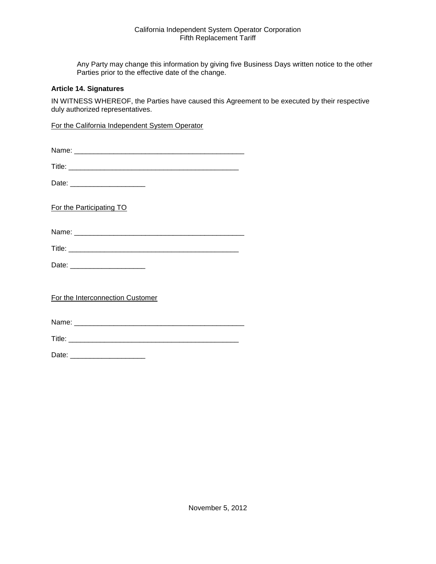Any Party may change this information by giving five Business Days written notice to the other Parties prior to the effective date of the change.

#### **Article 14. Signatures**

IN WITNESS WHEREOF, the Parties have caused this Agreement to be executed by their respective duly authorized representatives.

For the California Independent System Operator

| Name: |
|-------|
|-------|

Date: \_\_\_\_\_\_\_\_\_\_\_\_\_\_\_\_\_\_\_

For the Participating TO

Name: \_\_\_\_\_\_\_\_\_\_\_\_\_\_\_\_\_\_\_\_\_\_\_\_\_\_\_\_\_\_\_\_\_\_\_\_\_\_\_\_\_\_\_

| Title. |  |  |  |
|--------|--|--|--|
|        |  |  |  |

Date: \_\_\_\_\_\_\_\_\_\_\_\_\_\_\_\_\_\_\_

For the Interconnection Customer

Name: \_\_\_\_\_\_\_\_\_\_\_\_\_\_\_\_\_\_\_\_\_\_\_\_\_\_\_\_\_\_\_\_\_\_\_\_\_\_\_\_\_\_\_

Title: \_\_\_\_\_\_\_\_\_\_\_\_\_\_\_\_\_\_\_\_\_\_\_\_\_\_\_\_\_\_\_\_\_\_\_\_\_\_\_\_\_\_\_

Date: \_\_\_\_\_\_\_\_\_\_\_\_\_\_\_\_\_\_\_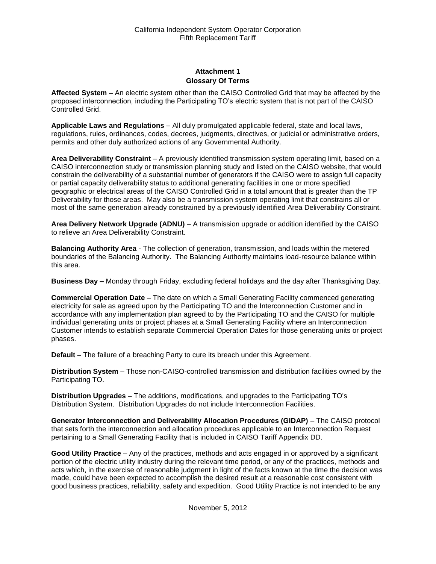## **Attachment 1 Glossary Of Terms**

**Affected System –** An electric system other than the CAISO Controlled Grid that may be affected by the proposed interconnection, including the Participating TO's electric system that is not part of the CAISO Controlled Grid.

**Applicable Laws and Regulations** – All duly promulgated applicable federal, state and local laws, regulations, rules, ordinances, codes, decrees, judgments, directives, or judicial or administrative orders, permits and other duly authorized actions of any Governmental Authority.

**Area Deliverability Constraint** – A previously identified transmission system operating limit, based on a CAISO interconnection study or transmission planning study and listed on the CAISO website, that would constrain the deliverability of a substantial number of generators if the CAISO were to assign full capacity or partial capacity deliverability status to additional generating facilities in one or more specified geographic or electrical areas of the CAISO Controlled Grid in a total amount that is greater than the TP Deliverability for those areas. May also be a transmission system operating limit that constrains all or most of the same generation already constrained by a previously identified Area Deliverability Constraint.

**Area Delivery Network Upgrade (ADNU)** – A transmission upgrade or addition identified by the CAISO to relieve an Area Deliverability Constraint.

**Balancing Authority Area** - The collection of generation, transmission, and loads within the metered boundaries of the Balancing Authority. The Balancing Authority maintains load-resource balance within this area.

**Business Day –** Monday through Friday, excluding federal holidays and the day after Thanksgiving Day.

**Commercial Operation Date** – The date on which a Small Generating Facility commenced generating electricity for sale as agreed upon by the Participating TO and the Interconnection Customer and in accordance with any implementation plan agreed to by the Participating TO and the CAISO for multiple individual generating units or project phases at a Small Generating Facility where an Interconnection Customer intends to establish separate Commercial Operation Dates for those generating units or project phases.

**Default** – The failure of a breaching Party to cure its breach under this Agreement.

**Distribution System** – Those non-CAISO-controlled transmission and distribution facilities owned by the Participating TO.

**Distribution Upgrades** – The additions, modifications, and upgrades to the Participating TO's Distribution System. Distribution Upgrades do not include Interconnection Facilities.

**Generator Interconnection and Deliverability Allocation Procedures (GIDAP)** – The CAISO protocol that sets forth the interconnection and allocation procedures applicable to an Interconnection Request pertaining to a Small Generating Facility that is included in CAISO Tariff Appendix DD.

**Good Utility Practice** – Any of the practices, methods and acts engaged in or approved by a significant portion of the electric utility industry during the relevant time period, or any of the practices, methods and acts which, in the exercise of reasonable judgment in light of the facts known at the time the decision was made, could have been expected to accomplish the desired result at a reasonable cost consistent with good business practices, reliability, safety and expedition. Good Utility Practice is not intended to be any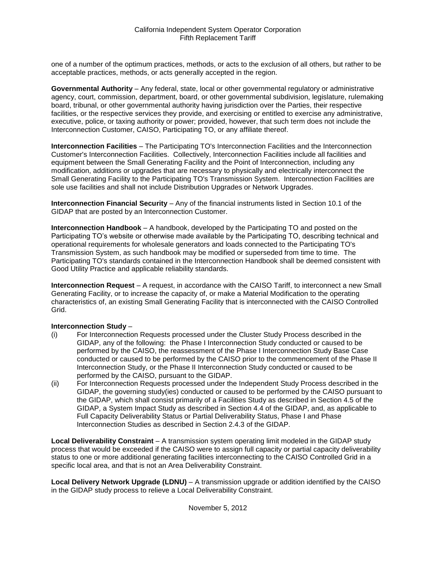one of a number of the optimum practices, methods, or acts to the exclusion of all others, but rather to be acceptable practices, methods, or acts generally accepted in the region.

**Governmental Authority** – Any federal, state, local or other governmental regulatory or administrative agency, court, commission, department, board, or other governmental subdivision, legislature, rulemaking board, tribunal, or other governmental authority having jurisdiction over the Parties, their respective facilities, or the respective services they provide, and exercising or entitled to exercise any administrative, executive, police, or taxing authority or power; provided, however, that such term does not include the Interconnection Customer, CAISO, Participating TO, or any affiliate thereof.

**Interconnection Facilities** – The Participating TO's Interconnection Facilities and the Interconnection Customer's Interconnection Facilities. Collectively, Interconnection Facilities include all facilities and equipment between the Small Generating Facility and the Point of Interconnection, including any modification, additions or upgrades that are necessary to physically and electrically interconnect the Small Generating Facility to the Participating TO's Transmission System. Interconnection Facilities are sole use facilities and shall not include Distribution Upgrades or Network Upgrades.

**Interconnection Financial Security** – Any of the financial instruments listed in Section 10.1 of the GIDAP that are posted by an Interconnection Customer.

**Interconnection Handbook** – A handbook, developed by the Participating TO and posted on the Participating TO's website or otherwise made available by the Participating TO, describing technical and operational requirements for wholesale generators and loads connected to the Participating TO's Transmission System, as such handbook may be modified or superseded from time to time. The Participating TO's standards contained in the Interconnection Handbook shall be deemed consistent with Good Utility Practice and applicable reliability standards.

**Interconnection Request** – A request, in accordance with the CAISO Tariff, to interconnect a new Small Generating Facility, or to increase the capacity of, or make a Material Modification to the operating characteristics of, an existing Small Generating Facility that is interconnected with the CAISO Controlled Grid.

## **Interconnection Study** –

- (i) For Interconnection Requests processed under the Cluster Study Process described in the GIDAP, any of the following: the Phase I Interconnection Study conducted or caused to be performed by the CAISO, the reassessment of the Phase I Interconnection Study Base Case conducted or caused to be performed by the CAISO prior to the commencement of the Phase II Interconnection Study, or the Phase II Interconnection Study conducted or caused to be performed by the CAISO, pursuant to the GIDAP.
- (ii) For Interconnection Requests processed under the Independent Study Process described in the GIDAP, the governing study(ies) conducted or caused to be performed by the CAISO pursuant to the GIDAP, which shall consist primarily of a Facilities Study as described in Section 4.5 of the GIDAP, a System Impact Study as described in Section 4.4 of the GIDAP, and, as applicable to Full Capacity Deliverability Status or Partial Deliverability Status, Phase I and Phase Interconnection Studies as described in Section 2.4.3 of the GIDAP.

**Local Deliverability Constraint** – A transmission system operating limit modeled in the GIDAP study process that would be exceeded if the CAISO were to assign full capacity or partial capacity deliverability status to one or more additional generating facilities interconnecting to the CAISO Controlled Grid in a specific local area, and that is not an Area Deliverability Constraint.

**Local Delivery Network Upgrade (LDNU)** – A transmission upgrade or addition identified by the CAISO in the GIDAP study process to relieve a Local Deliverability Constraint.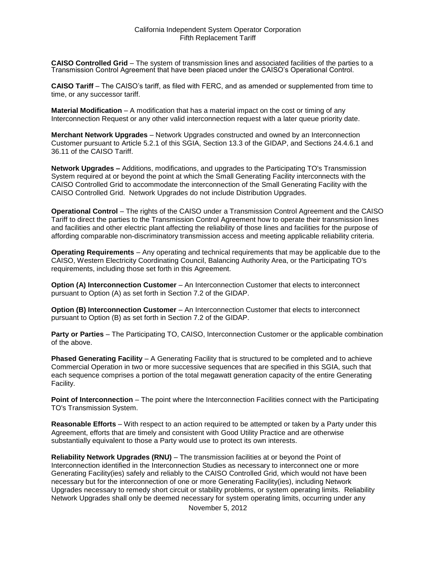**CAISO Controlled Grid** – The system of transmission lines and associated facilities of the parties to a Transmission Control Agreement that have been placed under the CAISO's Operational Control.

**CAISO Tariff** – The CAISO's tariff, as filed with FERC, and as amended or supplemented from time to time, or any successor tariff.

**Material Modification** – A modification that has a material impact on the cost or timing of any Interconnection Request or any other valid interconnection request with a later queue priority date.

**Merchant Network Upgrades** – Network Upgrades constructed and owned by an Interconnection Customer pursuant to Article 5.2.1 of this SGIA, Section 13.3 of the GIDAP, and Sections 24.4.6.1 and 36.11 of the CAISO Tariff.

**Network Upgrades –** Additions, modifications, and upgrades to the Participating TO's Transmission System required at or beyond the point at which the Small Generating Facility interconnects with the CAISO Controlled Grid to accommodate the interconnection of the Small Generating Facility with the CAISO Controlled Grid. Network Upgrades do not include Distribution Upgrades.

**Operational Control** – The rights of the CAISO under a Transmission Control Agreement and the CAISO Tariff to direct the parties to the Transmission Control Agreement how to operate their transmission lines and facilities and other electric plant affecting the reliability of those lines and facilities for the purpose of affording comparable non-discriminatory transmission access and meeting applicable reliability criteria.

**Operating Requirements** – Any operating and technical requirements that may be applicable due to the CAISO, Western Electricity Coordinating Council, Balancing Authority Area, or the Participating TO's requirements, including those set forth in this Agreement.

**Option (A) Interconnection Customer** – An Interconnection Customer that elects to interconnect pursuant to Option (A) as set forth in Section 7.2 of the GIDAP.

**Option (B) Interconnection Customer** – An Interconnection Customer that elects to interconnect pursuant to Option (B) as set forth in Section 7.2 of the GIDAP.

**Party or Parties** – The Participating TO, CAISO, Interconnection Customer or the applicable combination of the above.

**Phased Generating Facility** – A Generating Facility that is structured to be completed and to achieve Commercial Operation in two or more successive sequences that are specified in this SGIA, such that each sequence comprises a portion of the total megawatt generation capacity of the entire Generating Facility.

**Point of Interconnection** – The point where the Interconnection Facilities connect with the Participating TO's Transmission System.

**Reasonable Efforts** – With respect to an action required to be attempted or taken by a Party under this Agreement, efforts that are timely and consistent with Good Utility Practice and are otherwise substantially equivalent to those a Party would use to protect its own interests.

**Reliability Network Upgrades (RNU)** – The transmission facilities at or beyond the Point of Interconnection identified in the Interconnection Studies as necessary to interconnect one or more Generating Facility(ies) safely and reliably to the CAISO Controlled Grid, which would not have been necessary but for the interconnection of one or more Generating Facility(ies), including Network Upgrades necessary to remedy short circuit or stability problems, or system operating limits. Reliability Network Upgrades shall only be deemed necessary for system operating limits, occurring under any

November 5, 2012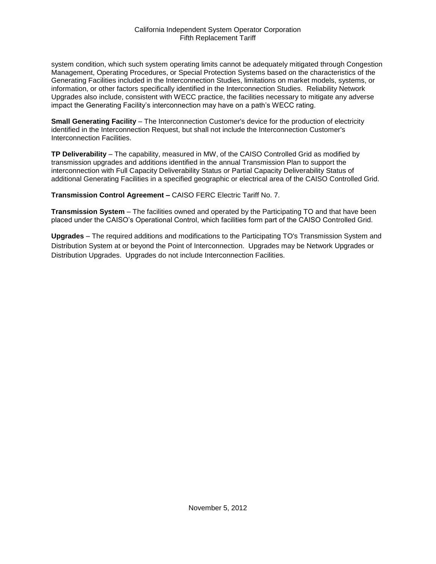system condition, which such system operating limits cannot be adequately mitigated through Congestion Management, Operating Procedures, or Special Protection Systems based on the characteristics of the Generating Facilities included in the Interconnection Studies, limitations on market models, systems, or information, or other factors specifically identified in the Interconnection Studies. Reliability Network Upgrades also include, consistent with WECC practice, the facilities necessary to mitigate any adverse impact the Generating Facility's interconnection may have on a path's WECC rating.

**Small Generating Facility** – The Interconnection Customer's device for the production of electricity identified in the Interconnection Request, but shall not include the Interconnection Customer's Interconnection Facilities.

**TP Deliverability** – The capability, measured in MW, of the CAISO Controlled Grid as modified by transmission upgrades and additions identified in the annual Transmission Plan to support the interconnection with Full Capacity Deliverability Status or Partial Capacity Deliverability Status of additional Generating Facilities in a specified geographic or electrical area of the CAISO Controlled Grid.

**Transmission Control Agreement –** CAISO FERC Electric Tariff No. 7.

**Transmission System** – The facilities owned and operated by the Participating TO and that have been placed under the CAISO's Operational Control, which facilities form part of the CAISO Controlled Grid.

**Upgrades** – The required additions and modifications to the Participating TO's Transmission System and Distribution System at or beyond the Point of Interconnection. Upgrades may be Network Upgrades or Distribution Upgrades. Upgrades do not include Interconnection Facilities.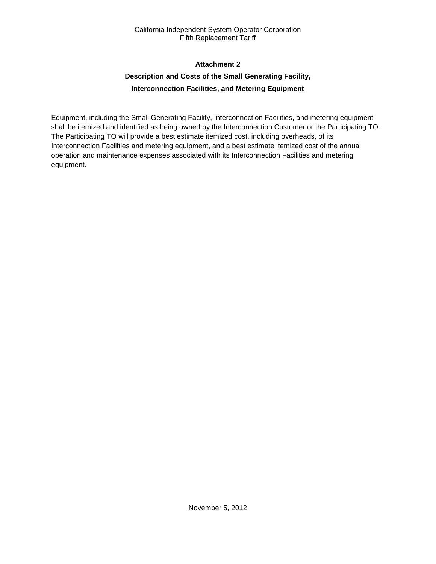## **Attachment 2**

# **Description and Costs of the Small Generating Facility, Interconnection Facilities, and Metering Equipment**

Equipment, including the Small Generating Facility, Interconnection Facilities, and metering equipment shall be itemized and identified as being owned by the Interconnection Customer or the Participating TO. The Participating TO will provide a best estimate itemized cost, including overheads, of its Interconnection Facilities and metering equipment, and a best estimate itemized cost of the annual operation and maintenance expenses associated with its Interconnection Facilities and metering equipment.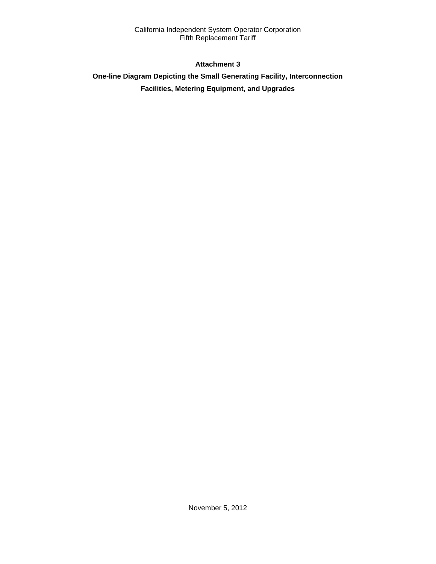## **Attachment 3**

# **One-line Diagram Depicting the Small Generating Facility, Interconnection Facilities, Metering Equipment, and Upgrades**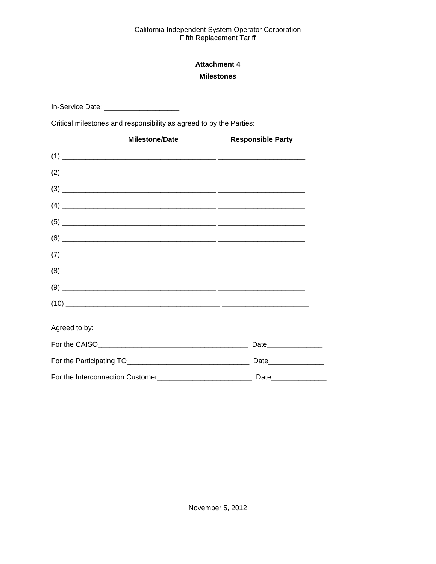# **Attachment 4 Milestones**

In-Service Date: \_\_\_\_\_\_\_\_\_\_\_\_\_\_\_\_\_\_\_\_\_\_\_

Critical milestones and responsibility as agreed to by the Parties:

|               | <b>Milestone/Date</b> | <b>Responsible Party</b>                                                                                                                                                                                                                                                                                                                                                                                                                                                        |
|---------------|-----------------------|---------------------------------------------------------------------------------------------------------------------------------------------------------------------------------------------------------------------------------------------------------------------------------------------------------------------------------------------------------------------------------------------------------------------------------------------------------------------------------|
|               |                       |                                                                                                                                                                                                                                                                                                                                                                                                                                                                                 |
|               |                       |                                                                                                                                                                                                                                                                                                                                                                                                                                                                                 |
|               |                       |                                                                                                                                                                                                                                                                                                                                                                                                                                                                                 |
|               |                       | $\begin{picture}(4) \put(0,0){\vector(1,0){100}} \put(15,0){\vector(1,0){100}} \put(15,0){\vector(1,0){100}} \put(15,0){\vector(1,0){100}} \put(15,0){\vector(1,0){100}} \put(15,0){\vector(1,0){100}} \put(15,0){\vector(1,0){100}} \put(15,0){\vector(1,0){100}} \put(15,0){\vector(1,0){100}} \put(15,0){\vector(1,0){100}} \put(15,0){\vector(1,0){100}} \put(15$                                                                                                           |
|               |                       |                                                                                                                                                                                                                                                                                                                                                                                                                                                                                 |
|               |                       |                                                                                                                                                                                                                                                                                                                                                                                                                                                                                 |
|               |                       |                                                                                                                                                                                                                                                                                                                                                                                                                                                                                 |
|               |                       | $(8) \begin{tabular}{l} \hline \rule{0.2cm}{0.15cm} \rule{0.2cm}{0.15cm} \rule{0.2cm}{0.15cm} \rule{0.2cm}{0.15cm} \rule{0.2cm}{0.15cm} \rule{0.2cm}{0.15cm} \rule{0.2cm}{0.15cm} \rule{0.2cm}{0.15cm} \rule{0.2cm}{0.15cm} \rule{0.2cm}{0.15cm} \rule{0.2cm}{0.15cm} \rule{0.2cm}{0.15cm} \rule{0.2cm}{0.15cm} \rule{0.2cm}{0.15cm} \rule{0.2cm}{0.$                                                                                                                           |
|               |                       |                                                                                                                                                                                                                                                                                                                                                                                                                                                                                 |
|               |                       | $(10) \begin{tabular}{l} \hline \rule{0mm}{3ex} \multicolumn{3}{c}{} & \multicolumn{3}{c}{} \multicolumn{3}{c}{} \multicolumn{3}{c}{} \multicolumn{3}{c}{} \multicolumn{3}{c}{} \multicolumn{3}{c}{} \multicolumn{3}{c}{} \multicolumn{3}{c}{} \multicolumn{3}{c}{} \multicolumn{3}{c}{} \multicolumn{3}{c}{} \multicolumn{3}{c}{} \multicolumn{3}{c}{} \multicolumn{3}{c}{} \multicolumn{3}{c}{} \multicolumn{3}{c}{} \multicolumn{3}{c}{} \multicolumn{3}{c}{} \multicolumn{$ |
| Agreed to by: |                       |                                                                                                                                                                                                                                                                                                                                                                                                                                                                                 |
|               |                       | Date__________________                                                                                                                                                                                                                                                                                                                                                                                                                                                          |
|               |                       | Date_______________                                                                                                                                                                                                                                                                                                                                                                                                                                                             |
|               |                       |                                                                                                                                                                                                                                                                                                                                                                                                                                                                                 |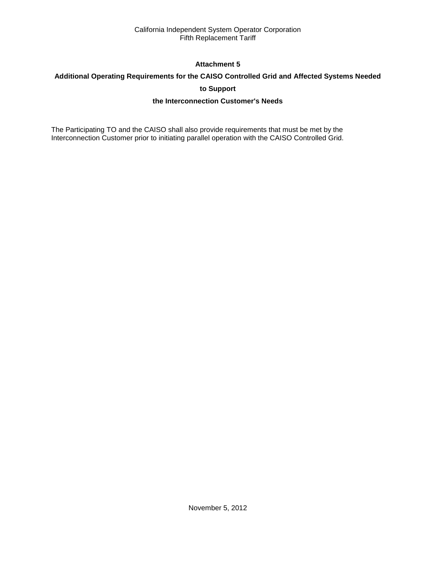## **Attachment 5**

## **Additional Operating Requirements for the CAISO Controlled Grid and Affected Systems Needed**

**to Support**

## **the Interconnection Customer's Needs**

The Participating TO and the CAISO shall also provide requirements that must be met by the Interconnection Customer prior to initiating parallel operation with the CAISO Controlled Grid.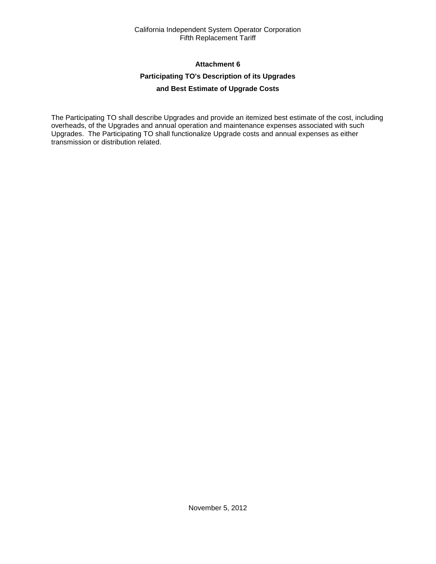## **Attachment 6**

## **Participating TO's Description of its Upgrades**

## **and Best Estimate of Upgrade Costs**

The Participating TO shall describe Upgrades and provide an itemized best estimate of the cost, including overheads, of the Upgrades and annual operation and maintenance expenses associated with such Upgrades. The Participating TO shall functionalize Upgrade costs and annual expenses as either transmission or distribution related.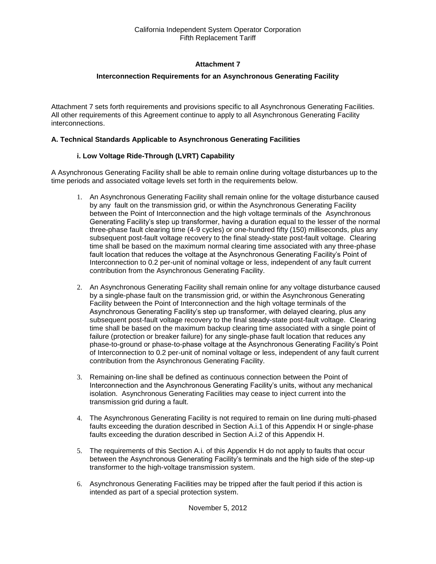## **Attachment 7**

## **Interconnection Requirements for an Asynchronous Generating Facility**

Attachment 7 sets forth requirements and provisions specific to all Asynchronous Generating Facilities. All other requirements of this Agreement continue to apply to all Asynchronous Generating Facility interconnections.

#### **A. Technical Standards Applicable to Asynchronous Generating Facilities**

#### **i. Low Voltage Ride-Through (LVRT) Capability**

A Asynchronous Generating Facility shall be able to remain online during voltage disturbances up to the time periods and associated voltage levels set forth in the requirements below.

- 1. An Asynchronous Generating Facility shall remain online for the voltage disturbance caused by any fault on the transmission grid, or within the Asynchronous Generating Facility between the Point of Interconnection and the high voltage terminals of the Asynchronous Generating Facility's step up transformer, having a duration equal to the lesser of the normal three-phase fault clearing time (4-9 cycles) or one-hundred fifty (150) milliseconds, plus any subsequent post-fault voltage recovery to the final steady-state post-fault voltage. Clearing time shall be based on the maximum normal clearing time associated with any three-phase fault location that reduces the voltage at the Asynchronous Generating Facility's Point of Interconnection to 0.2 per-unit of nominal voltage or less, independent of any fault current contribution from the Asynchronous Generating Facility.
- 2. An Asynchronous Generating Facility shall remain online for any voltage disturbance caused by a single-phase fault on the transmission grid, or within the Asynchronous Generating Facility between the Point of Interconnection and the high voltage terminals of the Asynchronous Generating Facility's step up transformer, with delayed clearing, plus any subsequent post-fault voltage recovery to the final steady-state post-fault voltage. Clearing time shall be based on the maximum backup clearing time associated with a single point of failure (protection or breaker failure) for any single-phase fault location that reduces any phase-to-ground or phase-to-phase voltage at the Asynchronous Generating Facility's Point of Interconnection to 0.2 per-unit of nominal voltage or less, independent of any fault current contribution from the Asynchronous Generating Facility.
- 3. Remaining on-line shall be defined as continuous connection between the Point of Interconnection and the Asynchronous Generating Facility's units, without any mechanical isolation. Asynchronous Generating Facilities may cease to inject current into the transmission grid during a fault.
- 4. The Asynchronous Generating Facility is not required to remain on line during multi-phased faults exceeding the duration described in Section A.i.1 of this Appendix H or single-phase faults exceeding the duration described in Section A.i.2 of this Appendix H.
- 5. The requirements of this Section A.i. of this Appendix H do not apply to faults that occur between the Asynchronous Generating Facility's terminals and the high side of the step-up transformer to the high-voltage transmission system.
- 6. Asynchronous Generating Facilities may be tripped after the fault period if this action is intended as part of a special protection system.